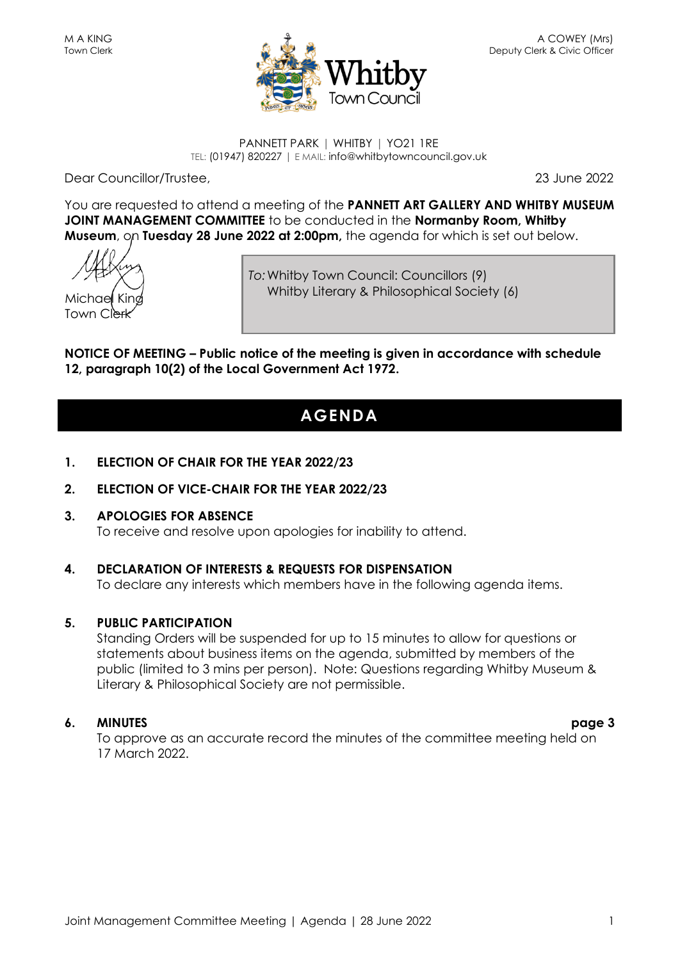

#### PANNETT PARK | WHITBY | YO21 1RE TEL: (01947) 820227 | E MAIL: info@whitbytowncouncil.gov.uk

Dear Councillor/Trustee, 23 June 2022

You are requested to attend a meeting of the **PANNETT ART GALLERY AND WHITBY MUSEUM JOINT MANAGEMENT COMMITTEE** to be conducted in the **Normanby Room, Whitby Museum**, on **Tuesday 28 June 2022 at 2:00pm,** the agenda for which is set out below.

Michael King Town Clerk

*To:*Whitby Town Council: Councillors (9) Whitby Literary & Philosophical Society (6)

**NOTICE OF MEETING – Public notice of the meeting is given in accordance with schedule 12, paragraph 10(2) of the Local Government Act 1972.**

# **AGENDA**

- **1. ELECTION OF CHAIR FOR THE YEAR 2022/23**
- **2. ELECTION OF VICE-CHAIR FOR THE YEAR 2022/23**
- **3. APOLOGIES FOR ABSENCE** To receive and resolve upon apologies for inability to attend.

# **4. DECLARATION OF INTERESTS & REQUESTS FOR DISPENSATION**

To declare any interests which members have in the following agenda items.

# **5. PUBLIC PARTICIPATION**

Standing Orders will be suspended for up to 15 minutes to allow for questions or statements about business items on the agenda, submitted by members of the public (limited to 3 mins per person). Note: Questions regarding Whitby Museum & Literary & Philosophical Society are not permissible.

# **6. MINUTES page 3**

To approve as an accurate record the minutes of the committee meeting held on 17 March 2022.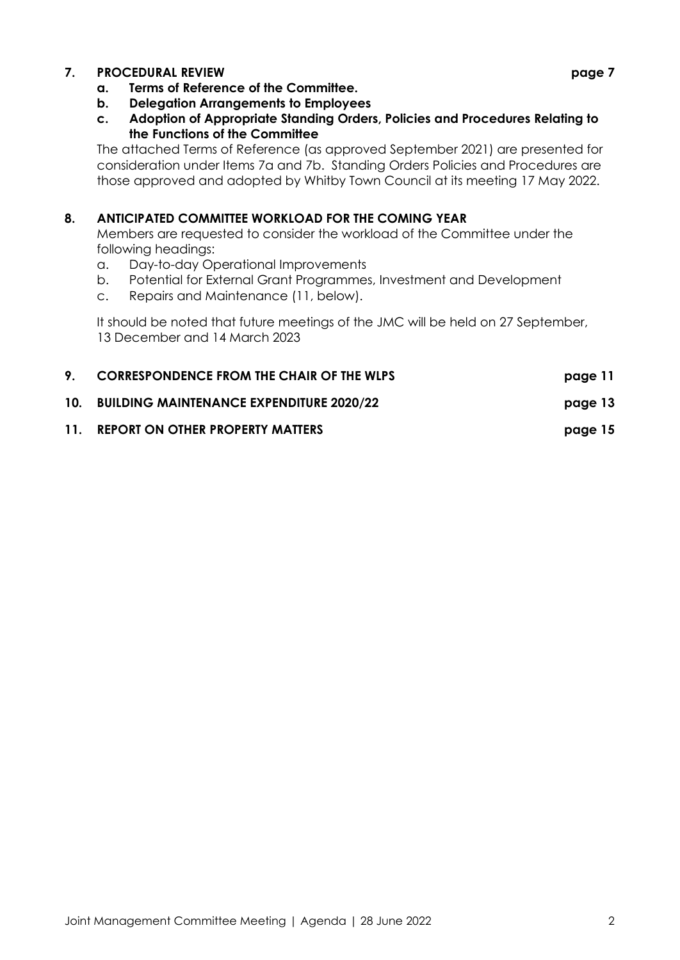### **7. PROCEDURAL REVIEW page 7**

- **a. Terms of Reference of the Committee.**
- **b. Delegation Arrangements to Employees**
- **c. Adoption of Appropriate Standing Orders, Policies and Procedures Relating to the Functions of the Committee**

The attached Terms of Reference (as approved September 2021) are presented for consideration under Items 7a and 7b. Standing Orders Policies and Procedures are those approved and adopted by Whitby Town Council at its meeting 17 May 2022.

#### **8. ANTICIPATED COMMITTEE WORKLOAD FOR THE COMING YEAR**

Members are requested to consider the workload of the Committee under the following headings:

- a. Day-to-day Operational Improvements
- b. Potential for External Grant Programmes, Investment and Development
- c. Repairs and Maintenance (11, below).

It should be noted that future meetings of the JMC will be held on 27 September, 13 December and 14 March 2023

|     | <b>CORRESPONDENCE FROM THE CHAIR OF THE WLPS</b> | page 11 |
|-----|--------------------------------------------------|---------|
|     | 10. BUILDING MAINTENANCE EXPENDITURE 2020/22     | page 13 |
| 11. | <b>REPORT ON OTHER PROPERTY MATTERS</b>          | page 15 |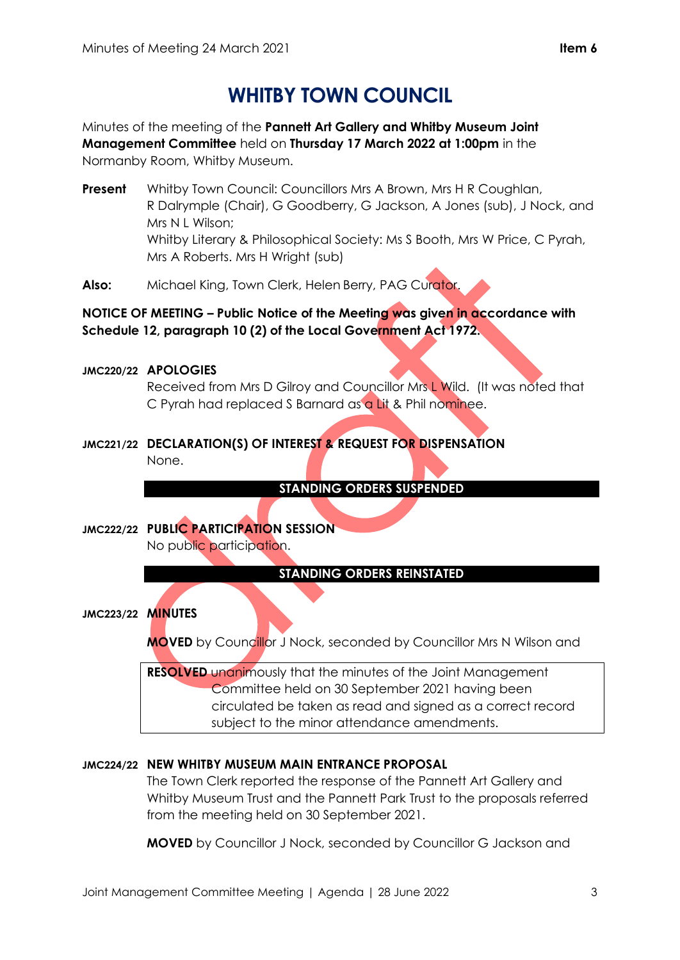# **WHITBY TOWN COUNCIL**

Minutes of the meeting of the **Pannett Art Gallery and Whitby Museum Joint Management Committee** held on **Thursday 17 March 2022 at 1:00pm** in the Normanby Room, Whitby Museum.

- **Present** Whitby Town Council: Councillors Mrs A Brown, Mrs H R Coughlan, R Dalrymple (Chair), G Goodberry, G Jackson, A Jones (sub), J Nock, and Mrs N L Wilson; Whitby Literary & Philosophical Society: Ms S Booth, Mrs W Price, C Pyrah, Mrs A Roberts. Mrs H Wright (sub)
- **Also:** Michael King, Town Clerk, Helen Berry, PAG Curator.

**NOTICE OF MEETING – Public Notice of the Meeting was given in accordance with Schedule 12, paragraph 10 (2) of the Local Government Act 1972.**

### **JMC220/22 APOLOGIES**

Received from Mrs D Gilroy and Councillor Mrs L Wild. (It was noted that C Pyrah had replaced S Barnard as a Lit & Phil nominee.

**JMC221/22 DECLARATION(S) OF INTEREST & REQUEST FOR DISPENSATION** None.

**STANDING ORDERS SUSPENDED** 

**JMC222/22 PUBLIC PARTICIPATION SESSION** No public participation.

## **STANDING ORDERS REINSTATED**

**JMC223/22 MINUTES**

**MOVED** by Councillor J Nock, seconded by Councillor Mrs N Wilson and

**RESOLVED** unanimously that the minutes of the Joint Management Committee held on 30 September 2021 having been circulated be taken as read and signed as a correct record subject to the minor attendance amendments.

# **JMC224/22 NEW WHITBY MUSEUM MAIN ENTRANCE PROPOSAL**

The Town Clerk reported the response of the Pannett Art Gallery and Whitby Museum Trust and the Pannett Park Trust to the proposals referred from the meeting held on 30 September 2021.

**MOVED** by Councillor J Nock, seconded by Councillor G Jackson and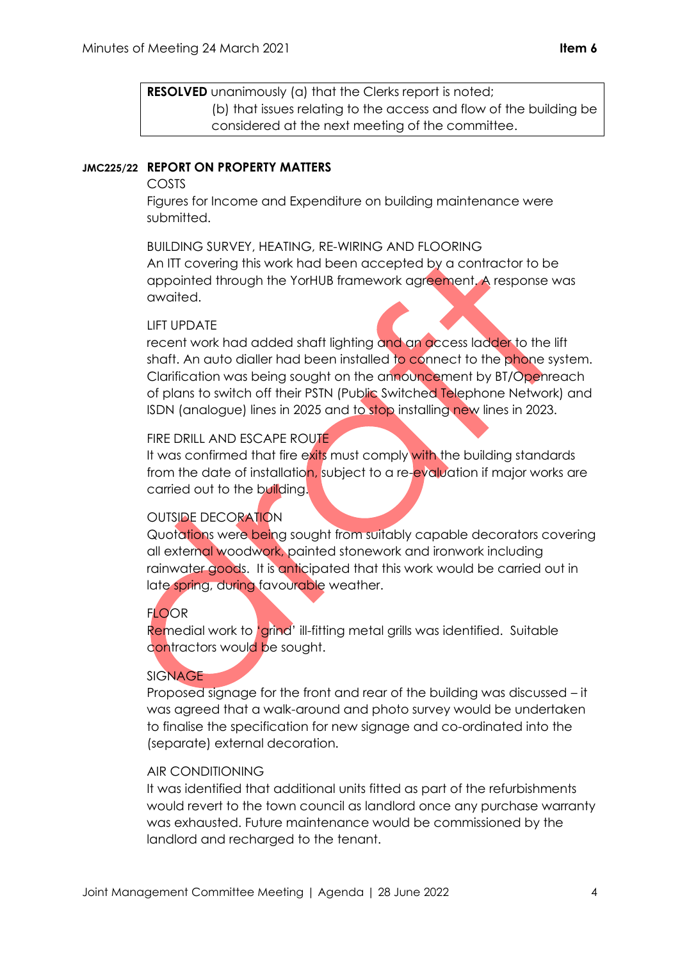**RESOLVED** unanimously (a) that the Clerks report is noted; (b) that issues relating to the access and flow of the building be considered at the next meeting of the committee.

#### **JMC225/22 REPORT ON PROPERTY MATTERS**

#### COSTS

Figures for Income and Expenditure on building maintenance were submitted.

BUILDING SURVEY, HEATING, RE-WIRING AND FLOORING An ITT covering this work had been accepted by a contractor to be appointed through the YorHUB framework agreement. A response was awaited.

#### LIFT UPDATE

recent work had added shaft lighting and an access ladder to the lift shaft. An auto dialler had been installed to connect to the phone system. Clarification was being sought on the announcement by BT/Openreach of plans to switch off their PSTN (Public Switched Telephone Network) and ISDN (analogue) lines in 2025 and to stop installing new lines in 2023.

#### FIRE DRILL AND ESCAPE ROUTE

It was confirmed that fire exits must comply with the building standards from the date of installation, subject to a re-evaluation if major works are carried out to the building.

#### OUTSIDE DECORATION

Quotations were being sought from suitably capable decorators covering all external woodwork, painted stonework and ironwork including rainwater goods. It is anticipated that this work would be carried out in late spring, during favourable weather.

#### **FLOOR**

Remedial work to 'grind' ill-fitting metal grills was identified. Suitable contractors would be sought.

#### SIGNAGE

Proposed signage for the front and rear of the building was discussed – it was agreed that a walk-around and photo survey would be undertaken to finalise the specification for new signage and co-ordinated into the (separate) external decoration.

#### AIR CONDITIONING

It was identified that additional units fitted as part of the refurbishments would revert to the town council as landlord once any purchase warranty was exhausted. Future maintenance would be commissioned by the landlord and recharged to the tenant.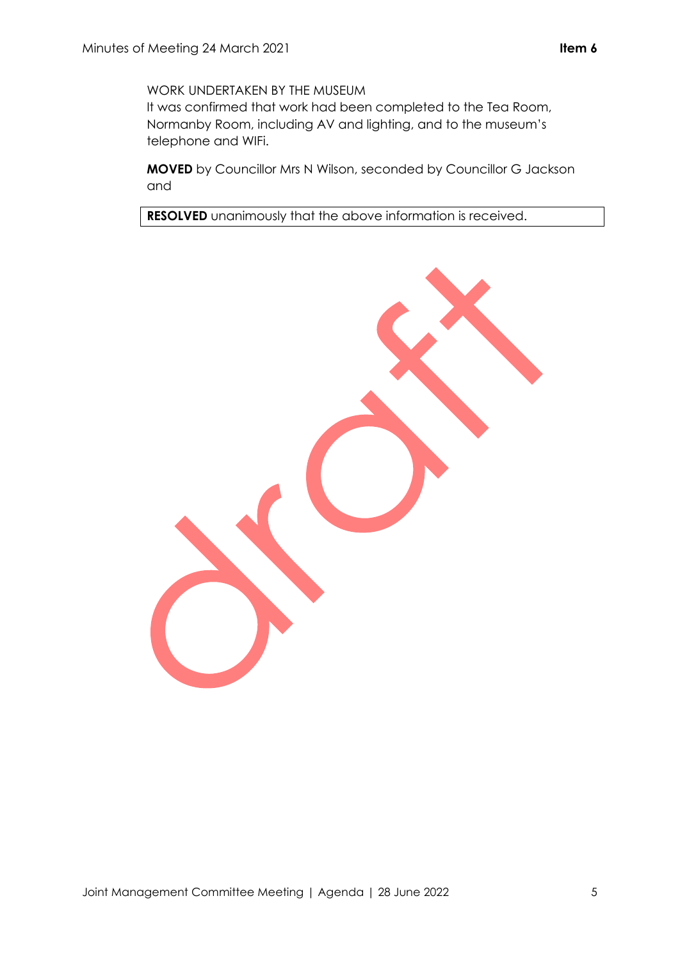WORK UNDERTAKEN BY THE MUSEUM

It was confirmed that work had been completed to the Tea Room, Normanby Room, including AV and lighting, and to the museum's telephone and WIFi.

**MOVED** by Councillor Mrs N Wilson, seconded by Councillor G Jackson and

**RESOLVED** unanimously that the above information is received.

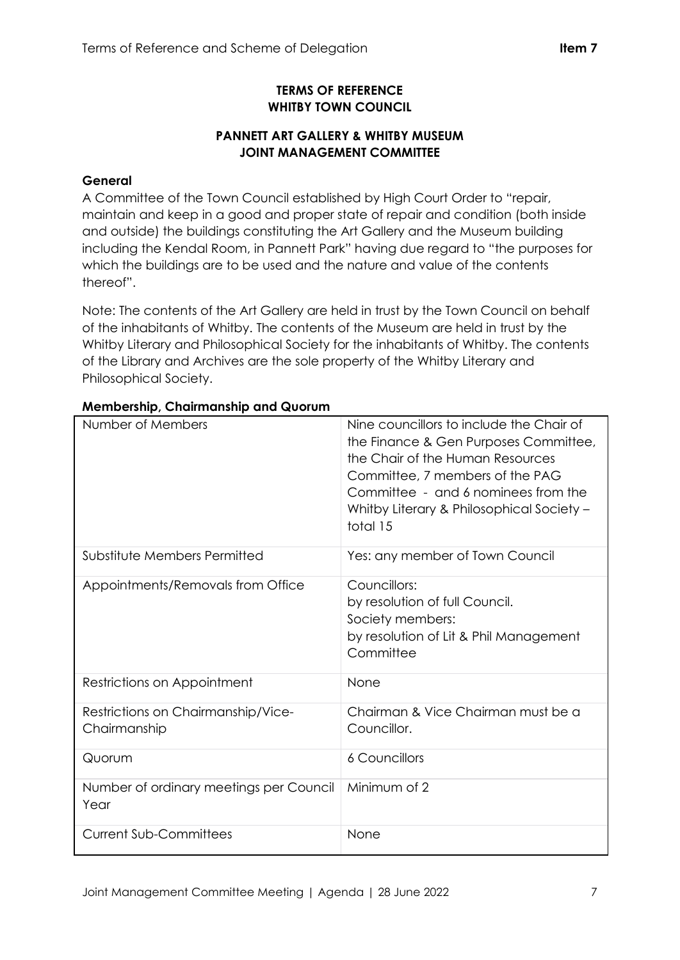## **TERMS OF REFERENCE WHITBY TOWN COUNCIL**

# **PANNETT ART GALLERY & WHITBY MUSEUM JOINT MANAGEMENT COMMITTEE**

## **General**

A Committee of the Town Council established by High Court Order to "repair, maintain and keep in a good and proper state of repair and condition (both inside and outside) the buildings constituting the Art Gallery and the Museum building including the Kendal Room, in Pannett Park" having due regard to "the purposes for which the buildings are to be used and the nature and value of the contents thereof".

Note: The contents of the Art Gallery are held in trust by the Town Council on behalf of the inhabitants of Whitby. The contents of the Museum are held in trust by the Whitby Literary and Philosophical Society for the inhabitants of Whitby. The contents of the Library and Archives are the sole property of the Whitby Literary and Philosophical Society.

| Number of Members                                  | Nine councillors to include the Chair of<br>the Finance & Gen Purposes Committee,<br>the Chair of the Human Resources<br>Committee, 7 members of the PAG<br>Committee - and 6 nominees from the<br>Whitby Literary & Philosophical Society -<br>total 15 |
|----------------------------------------------------|----------------------------------------------------------------------------------------------------------------------------------------------------------------------------------------------------------------------------------------------------------|
| Substitute Members Permitted                       | Yes: any member of Town Council                                                                                                                                                                                                                          |
| Appointments/Removals from Office                  | Councillors:<br>by resolution of full Council.<br>Society members:<br>by resolution of Lit & Phil Management<br>Committee                                                                                                                                |
| Restrictions on Appointment                        | None                                                                                                                                                                                                                                                     |
| Restrictions on Chairmanship/Vice-<br>Chairmanship | Chairman & Vice Chairman must be a<br>Councillor.                                                                                                                                                                                                        |
| Quorum                                             | <b>6 Councillors</b>                                                                                                                                                                                                                                     |
| Number of ordinary meetings per Council<br>Year    | Minimum of 2                                                                                                                                                                                                                                             |
| <b>Current Sub-Committees</b>                      | None                                                                                                                                                                                                                                                     |

## **Membership, Chairmanship and Quorum**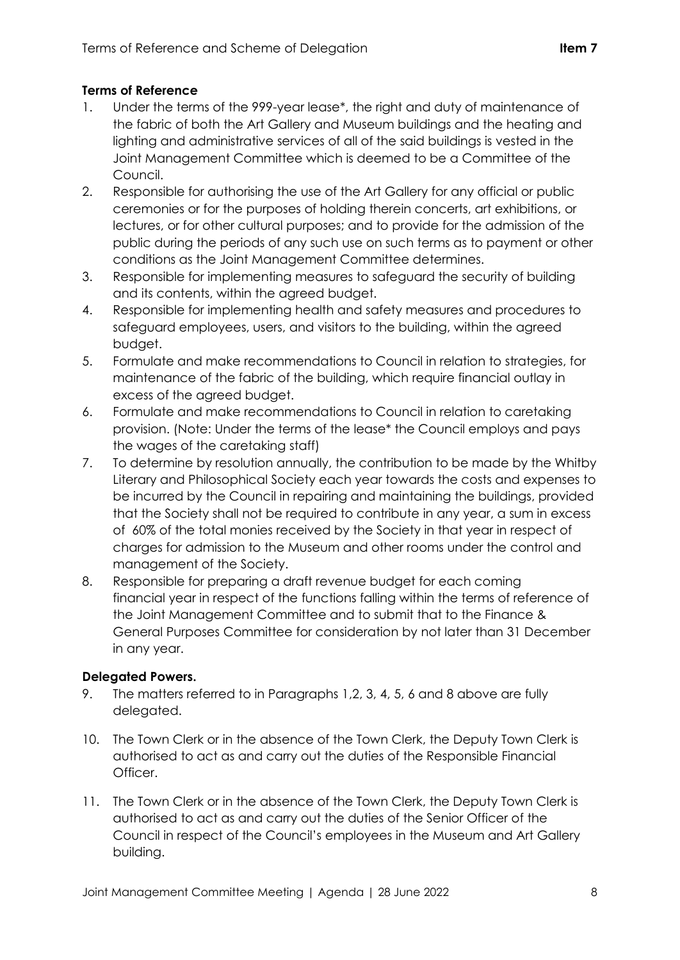## **Terms of Reference**

- 1. Under the terms of the 999-year lease\*, the right and duty of maintenance of the fabric of both the Art Gallery and Museum buildings and the heating and lighting and administrative services of all of the said buildings is vested in the Joint Management Committee which is deemed to be a Committee of the Council.
- 2. Responsible for authorising the use of the Art Gallery for any official or public ceremonies or for the purposes of holding therein concerts, art exhibitions, or lectures, or for other cultural purposes; and to provide for the admission of the public during the periods of any such use on such terms as to payment or other conditions as the Joint Management Committee determines.
- 3. Responsible for implementing measures to safeguard the security of building and its contents, within the agreed budget.
- 4. Responsible for implementing health and safety measures and procedures to safeguard employees, users, and visitors to the building, within the agreed budget.
- 5. Formulate and make recommendations to Council in relation to strategies, for maintenance of the fabric of the building, which require financial outlay in excess of the agreed budget.
- 6. Formulate and make recommendations to Council in relation to caretaking provision. (Note: Under the terms of the lease\* the Council employs and pays the wages of the caretaking staff)
- 7. To determine by resolution annually, the contribution to be made by the Whitby Literary and Philosophical Society each year towards the costs and expenses to be incurred by the Council in repairing and maintaining the buildings, provided that the Society shall not be required to contribute in any year, a sum in excess of 60% of the total monies received by the Society in that year in respect of charges for admission to the Museum and other rooms under the control and management of the Society.
- 8. Responsible for preparing a draft revenue budget for each coming financial year in respect of the functions falling within the terms of reference of the Joint Management Committee and to submit that to the Finance & General Purposes Committee for consideration by not later than 31 December in any year.

## **Delegated Powers.**

- 9. The matters referred to in Paragraphs 1,2, 3, 4, 5, 6 and 8 above are fully delegated.
- 10. The Town Clerk or in the absence of the Town Clerk, the Deputy Town Clerk is authorised to act as and carry out the duties of the Responsible Financial Officer.
- 11. The Town Clerk or in the absence of the Town Clerk, the Deputy Town Clerk is authorised to act as and carry out the duties of the Senior Officer of the Council in respect of the Council's employees in the Museum and Art Gallery building.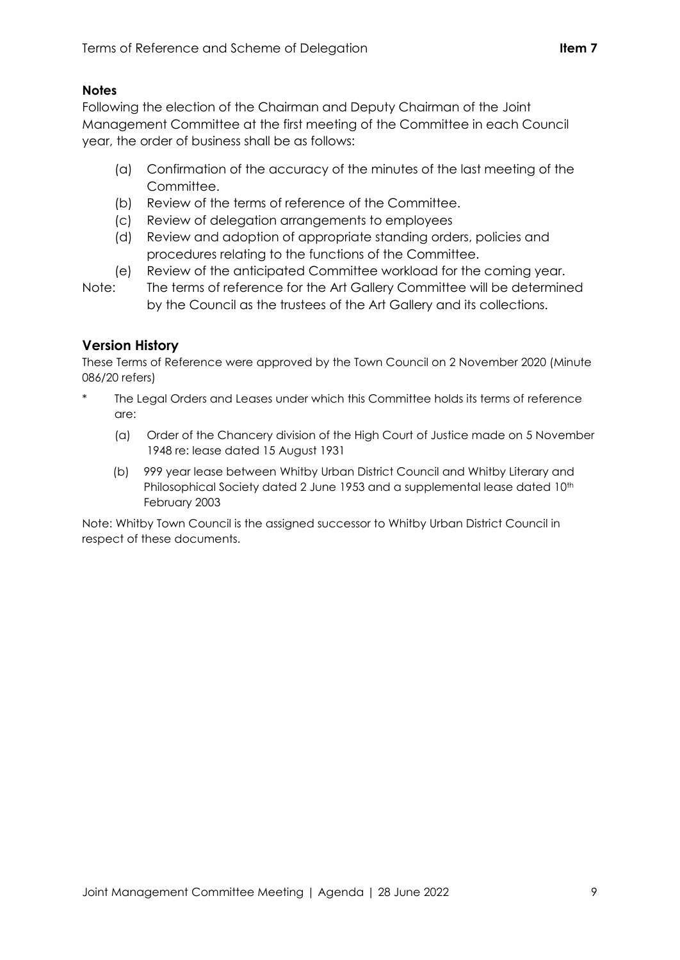## **Notes**

Following the election of the Chairman and Deputy Chairman of the Joint Management Committee at the first meeting of the Committee in each Council year, the order of business shall be as follows:

- (a) Confirmation of the accuracy of the minutes of the last meeting of the Committee.
- (b) Review of the terms of reference of the Committee.
- (c) Review of delegation arrangements to employees
- (d) Review and adoption of appropriate standing orders, policies and procedures relating to the functions of the Committee.
- (e) Review of the anticipated Committee workload for the coming year.
- Note: The terms of reference for the Art Gallery Committee will be determined by the Council as the trustees of the Art Gallery and its collections.

# **Version History**

These Terms of Reference were approved by the Town Council on 2 November 2020 (Minute 086/20 refers)

- The Legal Orders and Leases under which this Committee holds its terms of reference are:
	- (a) Order of the Chancery division of the High Court of Justice made on 5 November 1948 re: lease dated 15 August 1931
	- (b) 999 year lease between Whitby Urban District Council and Whitby Literary and Philosophical Society dated 2 June 1953 and a supplemental lease dated 10<sup>th</sup> February 2003

Note: Whitby Town Council is the assigned successor to Whitby Urban District Council in respect of these documents.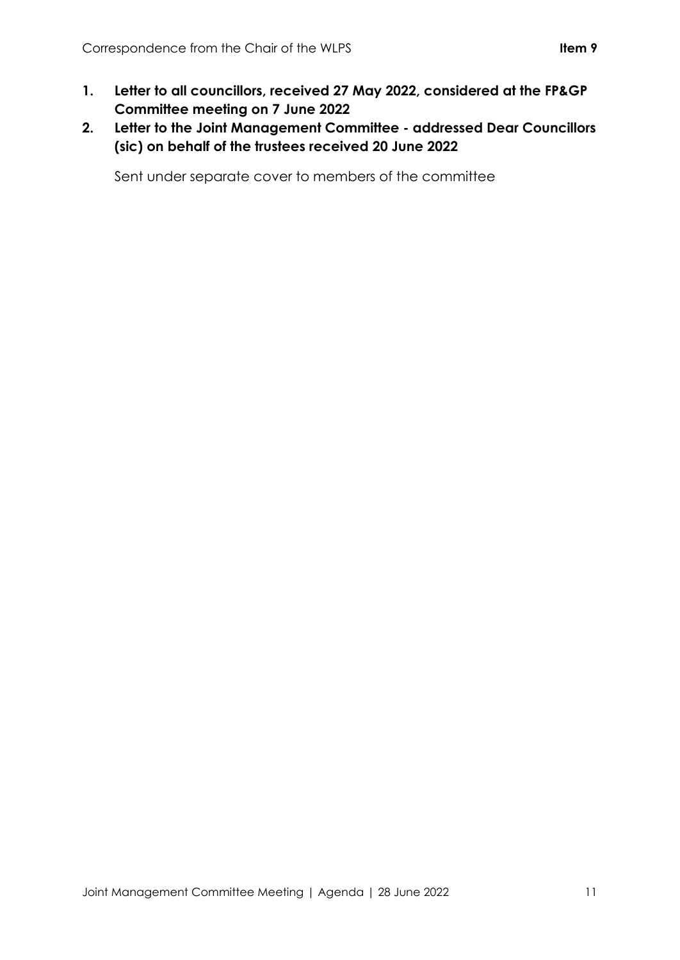- **1. Letter to all councillors, received 27 May 2022, considered at the FP&GP Committee meeting on 7 June 2022**
- **2. Letter to the Joint Management Committee - addressed Dear Councillors (sic) on behalf of the trustees received 20 June 2022**

Sent under separate cover to members of the committee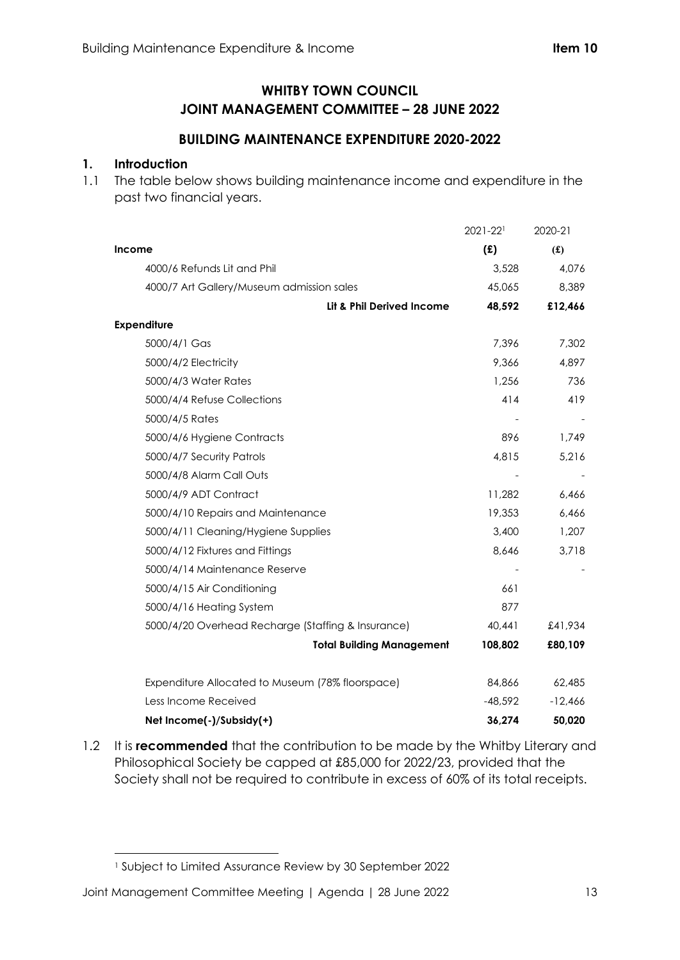# **WHITBY TOWN COUNCIL JOINT MANAGEMENT COMMITTEE – 28 JUNE 2022**

## **BUILDING MAINTENANCE EXPENDITURE 2020-2022**

### **1. Introduction**

1.1 The table below shows building maintenance income and expenditure in the past two financial years.

|                                                    | 2021-221  | 2020-21   |
|----------------------------------------------------|-----------|-----------|
| Income                                             | (E)       | (f)       |
| 4000/6 Refunds Lit and Phil                        | 3,528     | 4,076     |
| 4000/7 Art Gallery/Museum admission sales          | 45,065    | 8,389     |
| Lit & Phil Derived Income                          | 48,592    | £12,466   |
| <b>Expenditure</b>                                 |           |           |
| 5000/4/1 Gas                                       | 7,396     | 7,302     |
| 5000/4/2 Electricity                               | 9.366     | 4,897     |
| 5000/4/3 Water Rates                               | 1,256     | 736       |
| 5000/4/4 Refuse Collections                        | 414       | 419       |
| 5000/4/5 Rates                                     |           |           |
| 5000/4/6 Hygiene Contracts                         | 896       | 1,749     |
| 5000/4/7 Security Patrols                          | 4,815     | 5,216     |
| 5000/4/8 Alarm Call Outs                           |           |           |
| 5000/4/9 ADT Contract                              | 11,282    | 6,466     |
| 5000/4/10 Repairs and Maintenance                  | 19,353    | 6,466     |
| 5000/4/11 Cleaning/Hygiene Supplies                | 3,400     | 1,207     |
| 5000/4/12 Fixtures and Fittings                    | 8,646     | 3,718     |
| 5000/4/14 Maintenance Reserve                      |           |           |
| 5000/4/15 Air Conditioning                         | 661       |           |
| 5000/4/16 Heating System                           | 877       |           |
| 5000/4/20 Overhead Recharge (Staffing & Insurance) | 40,441    | £41,934   |
| <b>Total Building Management</b>                   | 108,802   | £80,109   |
| Expenditure Allocated to Museum (78% floorspace)   | 84,866    | 62,485    |
| Less Income Received                               | $-48,592$ | $-12,466$ |
| Net Income(-)/Subsidy(+)                           | 36,274    | 50,020    |

1.2 It is **recommended** that the contribution to be made by the Whitby Literary and Philosophical Society be capped at £85,000 for 2022/23, provided that the Society shall not be required to contribute in excess of 60% of its total receipts.

<sup>1</sup> Subject to Limited Assurance Review by 30 September 2022

Joint Management Committee Meeting | Agenda | 28 June 2022 13